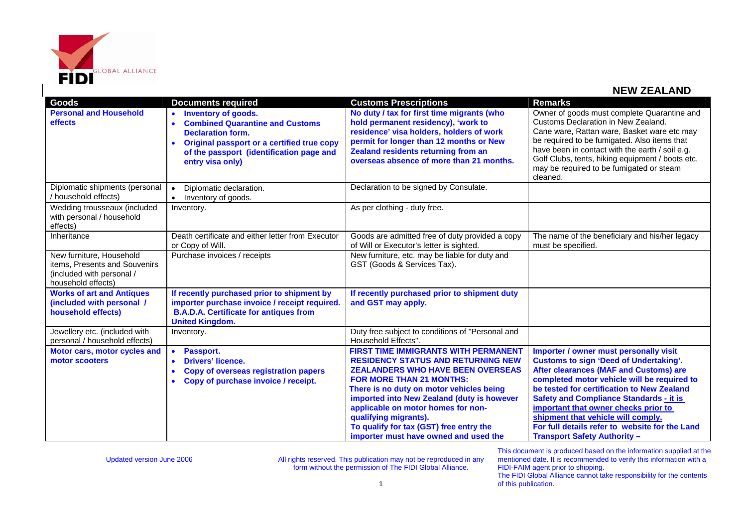

| <b>Goods</b>                                                                                                 | <b>Documents required</b>                                                                                                                                                                                                   | <b>Customs Prescriptions</b>                                                                                                                                                                                                                                                                                                                                                                                         | <b>Remarks</b>                                                                                                                                                                                                                                                                                                                                                                                                                                          |
|--------------------------------------------------------------------------------------------------------------|-----------------------------------------------------------------------------------------------------------------------------------------------------------------------------------------------------------------------------|----------------------------------------------------------------------------------------------------------------------------------------------------------------------------------------------------------------------------------------------------------------------------------------------------------------------------------------------------------------------------------------------------------------------|---------------------------------------------------------------------------------------------------------------------------------------------------------------------------------------------------------------------------------------------------------------------------------------------------------------------------------------------------------------------------------------------------------------------------------------------------------|
| <b>Personal and Household</b><br>effects                                                                     | <b>Inventory of goods.</b><br><b>Combined Quarantine and Customs</b><br><b>Declaration form.</b><br>Original passport or a certified true copy<br>$\bullet$<br>of the passport (identification page and<br>entry visa only) | No duty / tax for first time migrants (who<br>hold permanent residency), 'work to<br>residence' visa holders, holders of work<br>permit for longer than 12 months or New<br>Zealand residents returning from an<br>overseas absence of more than 21 months.                                                                                                                                                          | Owner of goods must complete Quarantine and<br>Customs Declaration in New Zealand.<br>Cane ware, Rattan ware, Basket ware etc may<br>be required to be fumigated. Also items that<br>have been in contact with the earth / soil e.g.<br>Golf Clubs, tents, hiking equipment / boots etc.<br>may be required to be fumigated or steam<br>cleaned.                                                                                                        |
| Diplomatic shipments (personal<br>household effects)                                                         | Diplomatic declaration.<br>$\bullet$<br>Inventory of goods.<br>$\bullet$                                                                                                                                                    | Declaration to be signed by Consulate.                                                                                                                                                                                                                                                                                                                                                                               |                                                                                                                                                                                                                                                                                                                                                                                                                                                         |
| Wedding trousseaux (included<br>with personal / household<br>effects)                                        | Inventory.                                                                                                                                                                                                                  | As per clothing - duty free.                                                                                                                                                                                                                                                                                                                                                                                         |                                                                                                                                                                                                                                                                                                                                                                                                                                                         |
| Inheritance                                                                                                  | Death certificate and either letter from Executor<br>or Copy of Will.                                                                                                                                                       | Goods are admitted free of duty provided a copy<br>of Will or Executor's letter is sighted.                                                                                                                                                                                                                                                                                                                          | The name of the beneficiary and his/her legacy<br>must be specified.                                                                                                                                                                                                                                                                                                                                                                                    |
| New furniture, Household<br>items, Presents and Souvenirs<br>(included with personal /<br>household effects) | Purchase invoices / receipts                                                                                                                                                                                                | New furniture, etc. may be liable for duty and<br>GST (Goods & Services Tax).                                                                                                                                                                                                                                                                                                                                        |                                                                                                                                                                                                                                                                                                                                                                                                                                                         |
| <b>Works of art and Antiques</b><br>(included with personal /<br>household effects)                          | If recently purchased prior to shipment by<br>importer purchase invoice / receipt required.<br><b>B.A.D.A. Certificate for antiques from</b><br><b>United Kingdom.</b>                                                      | If recently purchased prior to shipment duty<br>and GST may apply.                                                                                                                                                                                                                                                                                                                                                   |                                                                                                                                                                                                                                                                                                                                                                                                                                                         |
| Jewellery etc. (included with<br>personal / household effects)                                               | Inventory.                                                                                                                                                                                                                  | Duty free subject to conditions of "Personal and<br>Household Effects".                                                                                                                                                                                                                                                                                                                                              |                                                                                                                                                                                                                                                                                                                                                                                                                                                         |
| Motor cars, motor cycles and<br>motor scooters                                                               | <b>Passport.</b><br>$\bullet$<br><b>Drivers' licence.</b><br><b>Copy of overseas registration papers</b><br>Copy of purchase invoice / receipt.                                                                             | <b>FIRST TIME IMMIGRANTS WITH PERMANENT</b><br><b>RESIDENCY STATUS AND RETURNING NEW</b><br><b>ZEALANDERS WHO HAVE BEEN OVERSEAS</b><br><b>FOR MORE THAN 21 MONTHS:</b><br>There is no duty on motor vehicles being<br>imported into New Zealand (duty is however<br>applicable on motor homes for non-<br>qualifying migrants).<br>To qualify for tax (GST) free entry the<br>importer must have owned and used the | Importer / owner must personally visit<br><b>Customs to sign 'Deed of Undertaking'.</b><br>After clearances (MAF and Customs) are<br>completed motor vehicle will be required to<br>be tested for certification to New Zealand<br><b>Safety and Compliance Standards - it is</b><br>important that owner checks prior to<br>shipment that vehicle will comply.<br>For full details refer to website for the Land<br><b>Transport Safety Authority -</b> |

Updated version June 2006 **All rights reserved. This publication may not be reproduced in any** Updated version  $\theta$ form without the permission of The FIDI Global Alliance.

This document is produced based on the information supplied at the mentioned date. It is recommended to verify this information with a FIDI-FAIM agent prior to shipping.

The FIDI Global Alliance cannot take responsibility for the contents of this publication.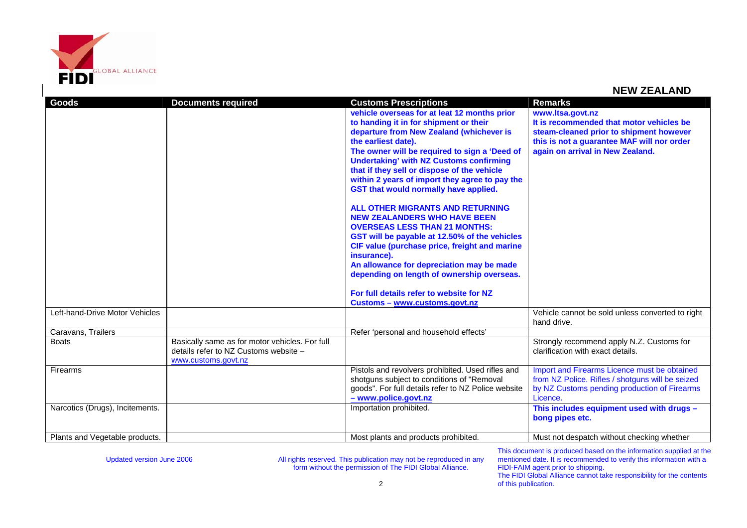

| Goods                           | <b>Documents required</b>                                                               | <b>Customs Prescriptions</b>                             | <b>Remarks</b>                                   |
|---------------------------------|-----------------------------------------------------------------------------------------|----------------------------------------------------------|--------------------------------------------------|
|                                 |                                                                                         | vehicle overseas for at leat 12 months prior             | www.ltsa.govt.nz                                 |
|                                 |                                                                                         | to handing it in for shipment or their                   | It is recommended that motor vehicles be         |
|                                 |                                                                                         | departure from New Zealand (whichever is                 | steam-cleaned prior to shipment however          |
|                                 |                                                                                         | the earliest date).                                      | this is not a guarantee MAF will nor order       |
|                                 |                                                                                         | The owner will be required to sign a 'Deed of            | again on arrival in New Zealand.                 |
|                                 |                                                                                         | <b>Undertaking' with NZ Customs confirming</b>           |                                                  |
|                                 |                                                                                         | that if they sell or dispose of the vehicle              |                                                  |
|                                 |                                                                                         | within 2 years of import they agree to pay the           |                                                  |
|                                 |                                                                                         | GST that would normally have applied.                    |                                                  |
|                                 |                                                                                         | <b>ALL OTHER MIGRANTS AND RETURNING</b>                  |                                                  |
|                                 |                                                                                         | <b>NEW ZEALANDERS WHO HAVE BEEN</b>                      |                                                  |
|                                 |                                                                                         | <b>OVERSEAS LESS THAN 21 MONTHS:</b>                     |                                                  |
|                                 |                                                                                         | GST will be payable at 12.50% of the vehicles            |                                                  |
|                                 |                                                                                         | CIF value (purchase price, freight and marine            |                                                  |
|                                 |                                                                                         | insurance).<br>An allowance for depreciation may be made |                                                  |
|                                 |                                                                                         | depending on length of ownership overseas.               |                                                  |
|                                 |                                                                                         |                                                          |                                                  |
|                                 |                                                                                         | For full details refer to website for NZ                 |                                                  |
|                                 |                                                                                         | Customs - www.customs.govt.nz                            |                                                  |
| Left-hand-Drive Motor Vehicles  |                                                                                         |                                                          | Vehicle cannot be sold unless converted to right |
|                                 |                                                                                         |                                                          | hand drive.                                      |
| Caravans, Trailers              |                                                                                         | Refer 'personal and household effects'                   |                                                  |
| <b>Boats</b>                    | Basically same as for motor vehicles. For full<br>details refer to NZ Customs website - |                                                          | Strongly recommend apply N.Z. Customs for        |
|                                 | www.customs.govt.nz                                                                     |                                                          | clarification with exact details.                |
| <b>Firearms</b>                 |                                                                                         | Pistols and revolvers prohibited. Used rifles and        | Import and Firearms Licence must be obtained     |
|                                 |                                                                                         | shotguns subject to conditions of "Removal               | from NZ Police. Rifles / shotguns will be seized |
|                                 |                                                                                         | goods". For full details refer to NZ Police website      | by NZ Customs pending production of Firearms     |
|                                 |                                                                                         | - www.police.govt.nz                                     | Licence.                                         |
| Narcotics (Drugs), Incitements. |                                                                                         | Importation prohibited.                                  | This includes equipment used with drugs -        |
|                                 |                                                                                         |                                                          | bong pipes etc.                                  |
|                                 |                                                                                         |                                                          |                                                  |
| Plants and Vegetable products.  |                                                                                         | Most plants and products prohibited.                     | Must not despatch without checking whether       |

Updated version June 2006 **All rights reserved. This publication may not be reproduced in any** Updated version  $\theta$ form without the permission of The FIDI Global Alliance.

This document is produced based on the information supplied at the mentioned date. It is recommended to verify this information with a FIDI-FAIM agent prior to shipping. The FIDI Global Alliance cannot take responsibility for the contents

of this publication.